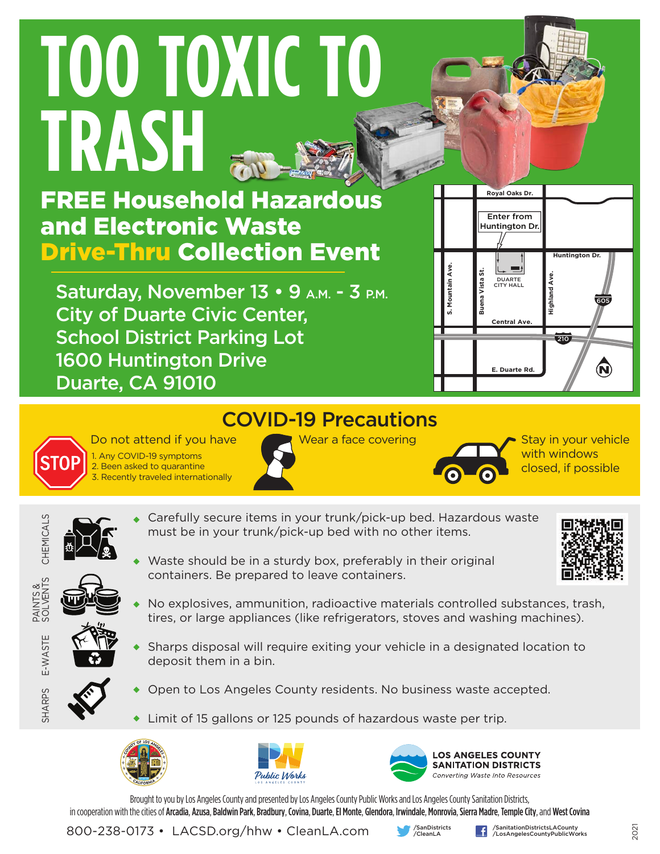# **TOO TOXIC TO TRASH**

FREE Household Hazardous and Electronic Waste Drive-Thru Collection Event

Saturday, November 13 • 9 A.M. - 3 P.M. City of Duarte Civic Center, School District Parking Lot 1600 Huntington Drive Duarte, CA 91010



### COVID-19 Precautions



Do not attend if you have 1. Any COVID-19 symptoms 2. Been asked to quarantine 3. Recently traveled internationally



Wear a face covering  $\overline{\phantom{0}}$  Stay in your vehicle



with windows closed, if possible

CHEMICALS

CHEMICALS

E-WASTE

E-WASTE

PAINTS &<br>SOLVENTS SOLVENTS

SHARPS

- Carefully secure items in your trunk/pick-up bed. Hazardous waste must be in your trunk/pick-up bed with no other items.
- Waste should be in a sturdy box, preferably in their original containers. Be prepared to leave containers.



- No explosives, ammunition, radioactive materials controlled substances, trash, tires, or large appliances (like refrigerators, stoves and washing machines).
- Sharps disposal will require exiting your vehicle in a designated location to deposit them in a bin.
- 
- Open to Los Angeles County residents. No business waste accepted.
- Limit of 15 gallons or 125 pounds of hazardous waste per trip.







Brought to you by Los Angeles County and presented by Los Angeles County Public Works and Los Angeles County Sanitation Districts, in cooperation with the cities of Arcadia, Azusa, Baldwin Park, Bradbury, Covina, Duarte, El Monte, Glendora, Irwindale, Monrovia, Sierra Madre, Temple City, and West Covina

800-238-0173 • LACSD.org/hhw • CleanLA.com